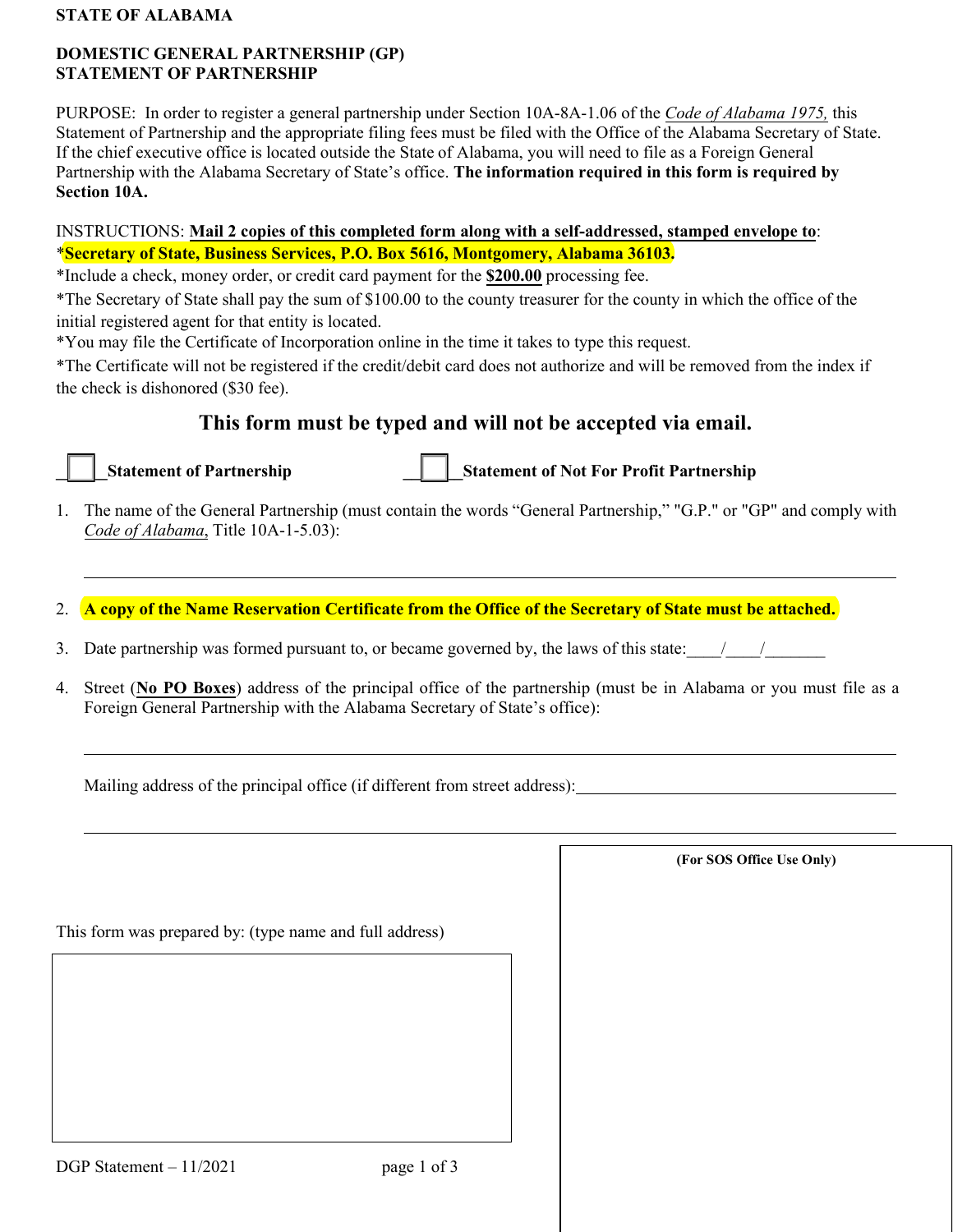#### **STATE OF ALABAMA**

## **DOMESTIC GENERAL PARTNERSHIP (GP) STATEMENT OF PARTNERSHIP**

PURPOSE: In order to register a general partnership under Section 10A-8A-1.06 of the *Code of Alabama 1975,* this Statement of Partnership and the appropriate filing fees must be filed with the Office of the Alabama Secretary of State. If the chief executive office is located outside the State of Alabama, you will need to file as a Foreign General Partnership with the Alabama Secretary of State's office. **The information required in this form is required by Section 10A.** 

# INSTRUCTIONS: **Mail 2 copies of this completed form along with a self-addressed, stamped envelope to**: \***Secretary of State, Business Services, P.O. Box 5616, Montgomery, Alabama 36103.**

\*Include a check, money order, or credit card payment for the **\$200.00** processing fee.

\*The Secretary of State shall pay the sum of \$100.00 to the county treasurer for the county in which the office of the initial registered agent for that entity is located.

\*You may file the Certificate of Incorporation online in the time it takes to type this request.

\*The Certificate will not be registered if the credit/debit card does not authorize and will be removed from the index if the check is dishonored (\$30 fee).

# **This form must be typed and will not be accepted via email.**



**Transformature Statement of Partnership 1 | Statement of Not For Profit Partnership** 

1. The name of the General Partnership (must contain the words "General Partnership," "G.P." or "GP" and comply with *Code of Alabama*, Title 10A-1-5.03):

2. **A copy of the Name Reservation Certificate from the Office of the Secretary of State must be attached.**

- 3. Date partnership was formed pursuant to, or became governed by, the laws of this state:  $\frac{1}{2}$
- 4. Street (**No PO Boxes**) address of the principal office of the partnership (must be in Alabama or you must file as a Foreign General Partnership with the Alabama Secretary of State's office):

Mailing address of the principal office (if different from street address):

**(For SOS Office Use Only)**

This form was prepared by: (type name and full address)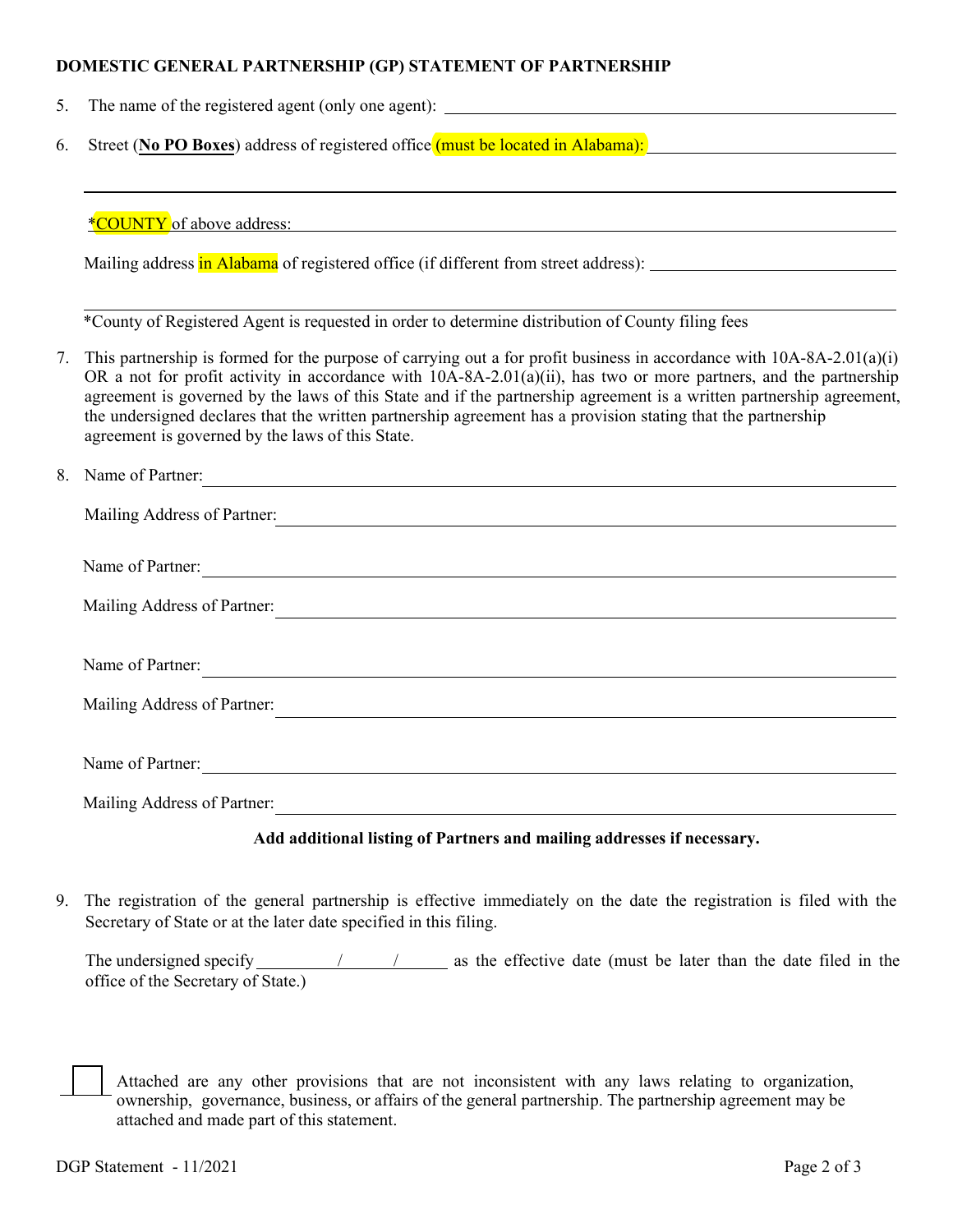### **DOMESTIC GENERAL PARTNERSHIP (GP) STATEMENT OF PARTNERSHIP**

- 5. The name of the registered agent (only one agent):
- 6. Street (**No PO Boxes**) address of registered office (must be located in Alabama):

\*COUNTY of above address:

Mailing address in Alabama of registered office (if different from street address):

\*County of Registered Agent is requested in order to determine distribution of County filing fees

7. This partnership is formed for the purpose of carrying out a for profit business in accordance with 10A-8A-2.01(a)(i) OR a not for profit activity in accordance with 10A-8A-2.01(a)(ii), has two or more partners, and the partnership agreement is governed by the laws of this State and if the partnership agreement is a written partnership agreement, the undersigned declares that the written partnership agreement has a provision stating that the partnership agreement is governed by the laws of this State.

| 8. Name of Partner:         |
|-----------------------------|
| Mailing Address of Partner: |
| Name of Partner:            |
| Mailing Address of Partner: |
|                             |
| Name of Partner:            |
| Mailing Address of Partner: |
|                             |
| Name of Partner:            |
| Mailing Address of Partner: |

### **Add additional listing of Partners and mailing addresses if necessary.**

9. The registration of the general partnership is effective immediately on the date the registration is filed with the Secretary of State or at the later date specified in this filing.

The undersigned specify  $/$  /  $/$  as the effective date (must be later than the date filed in the office of the Secretary of State.)

Attached are any other provisions that are not inconsistent with any laws relating to organization, ownership, governance, business, or affairs of the general partnership. The partnership agreement may be attached and made part of this statement.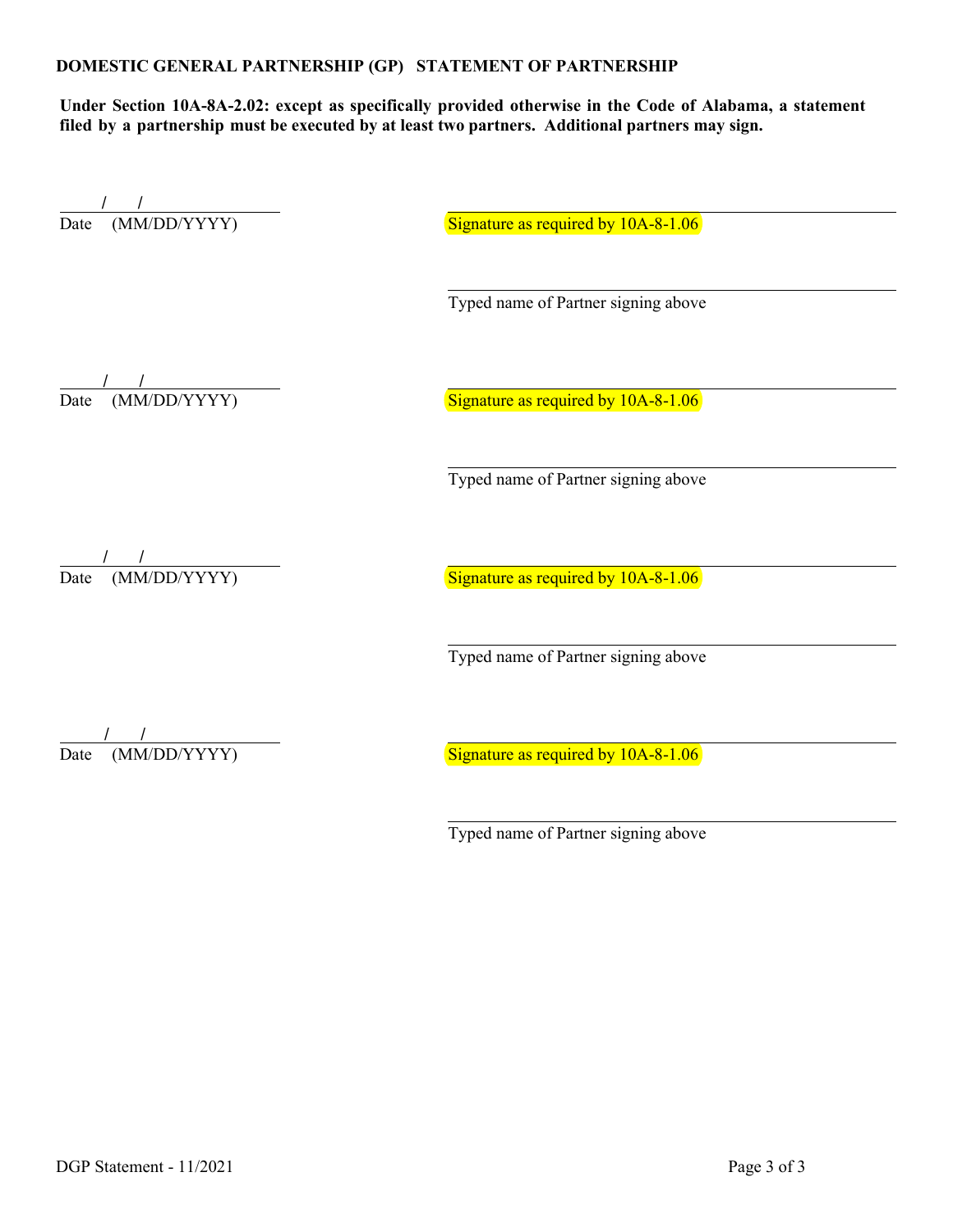**Under Section 10A-8A-2.02: except as specifically provided otherwise in the Code of Alabama, a statement filed by a partnership must be executed by at least two partners. Additional partners may sign.** 

/ / / Date (MM/DD/YYYY)

Signature as required by  $10A-8-1.06$ 

Typed name of Partner signing above

 $\frac{1}{\text{Date}}$  (MM/DD/YYYY)

Signature as required by  $10A-8-1.06$ 

Typed name of Partner signing above

 $\frac{1}{\text{Date}}$  (MM/DD/YYYY)

Signature as required by  $10A-8-1.06$ 

Typed name of Partner signing above

 $\frac{1}{\text{Date}}$  (MM/DD/YYYY)

Signature as required by  $10A-8-1.06$ 

Typed name of Partner signing above